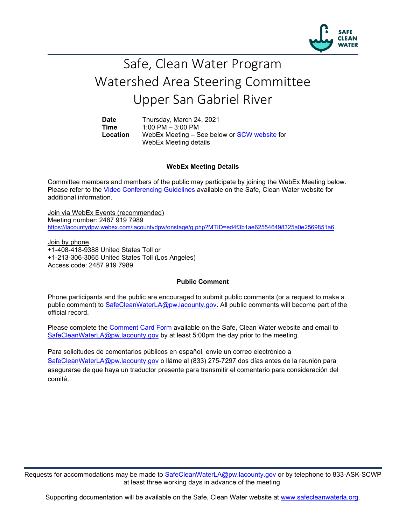

## Safe, Clean Water Program Watershed Area Steering Committee Upper San Gabriel River

**Date** Thursday, March 24, 2021<br>**Time** 1:00 PM - 3:00 PM **Time** 1:00 PM – 3:00 PM **Location** WebEx Meeting – See below or [SCW website](https://safecleanwaterla.org/upper-san-gabriel-river-watershed-area/) for WebEx Meeting details

## **WebEx Meeting Details**

Committee members and members of the public may participate by joining the WebEx Meeting below. Please refer to the [Video Conferencing Guidelines](https://safecleanwaterla.org/video-conference-guidelines/) available on the Safe, Clean Water website for additional information.

Join via WebEx Events (recommended) Meeting number: 2487 919 7989 <https://lacountydpw.webex.com/lacountydpw/onstage/g.php?MTID=ed4f3b1ae625546498325a0e2569851a6>

Join by phone +1-408-418-9388 United States Toll or +1-213-306-3065 United States Toll (Los Angeles) Access code: 2487 919 7989

## **Public Comment**

Phone participants and the public are encouraged to submit public comments (or a request to make a public comment) to [SafeCleanWaterLA@pw.lacounty.gov.](mailto:SafeCleanWaterLA@pw.lacounty.gov) All public comments will become part of the official record.

Please complete the Comment [Card Form](https://safecleanwaterla.org/wp-content/uploads/2020/04/Comment-Card-Form.pdf) available on the Safe, Clean Water website and email to [SafeCleanWaterLA@pw.lacounty.gov](mailto:SafeCleanWaterLA@pw.lacounty.govb) by at least 5:00pm the day prior to the meeting.

Para solicitudes de comentarios públicos en español, envíe un correo electrónico a [SafeCleanWaterLA@pw.lacounty.gov](mailto:SafeCleanWaterLA@pw.lacounty.gov) o lláme al (833) 275-7297 dos días antes de la reunión para asegurarse de que haya un traductor presente para transmitir el comentario para consideración del comité.

Requests for accommodations may be made to [SafeCleanWaterLA@pw.lacounty.gov](mailto:SafeCleanWaterLA@pw.lacounty.gov) or by telephone to 833-ASK-SCWP at least three working days in advance of the meeting.